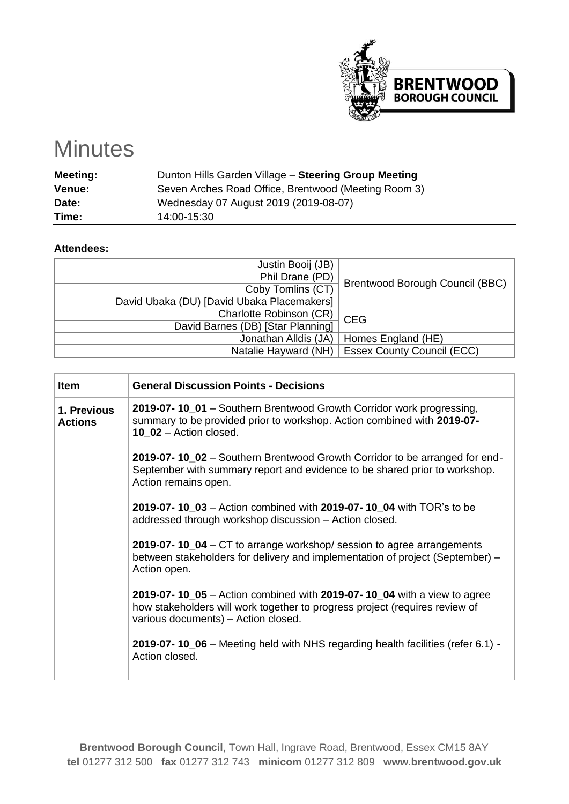

## **Minutes**

| <b>Meeting:</b> | Dunton Hills Garden Village - Steering Group Meeting |
|-----------------|------------------------------------------------------|
| <b>Venue:</b>   | Seven Arches Road Office, Brentwood (Meeting Room 3) |
| Date:           | Wednesday 07 August 2019 (2019-08-07)                |
| Time:           | 14:00-15:30                                          |

## **Attendees:**

| Justin Booij (JB)                          |                                        |
|--------------------------------------------|----------------------------------------|
| Phil Drane (PD)                            | <b>Brentwood Borough Council (BBC)</b> |
| Coby Tomlins (CT)                          |                                        |
| David Ubaka (DU) [David Ubaka Placemakers] |                                        |
| <b>Charlotte Robinson (CR)</b>             | <b>CEG</b>                             |
| David Barnes (DB) [Star Planning]          |                                        |
| Jonathan Alldis (JA)                       | Homes England (HE)                     |
| Natalie Hayward (NH)                       | <b>Essex County Council (ECC)</b>      |

| <b>Item</b>                   | <b>General Discussion Points - Decisions</b>                                                                                                                                                  |  |  |  |  |  |
|-------------------------------|-----------------------------------------------------------------------------------------------------------------------------------------------------------------------------------------------|--|--|--|--|--|
| 1. Previous<br><b>Actions</b> | 2019-07-10_01 - Southern Brentwood Growth Corridor work progressing,<br>summary to be provided prior to workshop. Action combined with 2019-07-<br>10 $02$ – Action closed.                   |  |  |  |  |  |
|                               | 2019-07-10_02 – Southern Brentwood Growth Corridor to be arranged for end-<br>September with summary report and evidence to be shared prior to workshop.<br>Action remains open.              |  |  |  |  |  |
|                               | 2019-07- 10_03 - Action combined with 2019-07- 10_04 with TOR's to be<br>addressed through workshop discussion - Action closed.                                                               |  |  |  |  |  |
|                               | 2019-07-10_04 - CT to arrange workshop/ session to agree arrangements<br>between stakeholders for delivery and implementation of project (September) –<br>Action open.                        |  |  |  |  |  |
|                               | 2019-07-10_05 – Action combined with 2019-07-10_04 with a view to agree<br>how stakeholders will work together to progress project (requires review of<br>various documents) - Action closed. |  |  |  |  |  |
|                               | 2019-07-10_06 – Meeting held with NHS regarding health facilities (refer 6.1) -<br>Action closed.                                                                                             |  |  |  |  |  |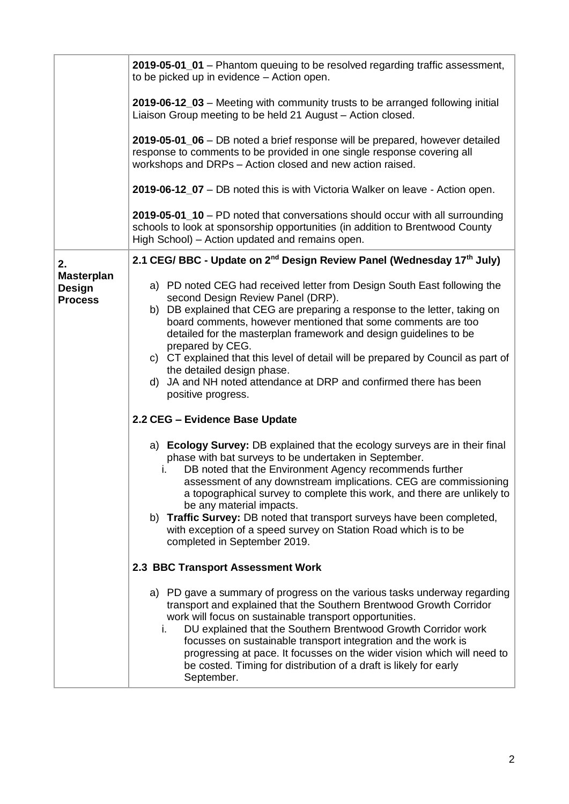|                                                      | 2019-05-01_01 – Phantom queuing to be resolved regarding traffic assessment,<br>to be picked up in evidence - Action open.                                                                                                                                                                                                                                                                                                                                                                                                                                               |  |  |  |  |
|------------------------------------------------------|--------------------------------------------------------------------------------------------------------------------------------------------------------------------------------------------------------------------------------------------------------------------------------------------------------------------------------------------------------------------------------------------------------------------------------------------------------------------------------------------------------------------------------------------------------------------------|--|--|--|--|
|                                                      | 2019-06-12_03 - Meeting with community trusts to be arranged following initial<br>Liaison Group meeting to be held 21 August - Action closed.                                                                                                                                                                                                                                                                                                                                                                                                                            |  |  |  |  |
|                                                      | 2019-05-01_06 - DB noted a brief response will be prepared, however detailed<br>response to comments to be provided in one single response covering all<br>workshops and DRPs - Action closed and new action raised.                                                                                                                                                                                                                                                                                                                                                     |  |  |  |  |
|                                                      | 2019-06-12_07 - DB noted this is with Victoria Walker on leave - Action open.                                                                                                                                                                                                                                                                                                                                                                                                                                                                                            |  |  |  |  |
|                                                      | 2019-05-01_10 - PD noted that conversations should occur with all surrounding<br>schools to look at sponsorship opportunities (in addition to Brentwood County<br>High School) – Action updated and remains open.                                                                                                                                                                                                                                                                                                                                                        |  |  |  |  |
| 2.                                                   | 2.1 CEG/ BBC - Update on 2 <sup>nd</sup> Design Review Panel (Wednesday 17 <sup>th</sup> July)                                                                                                                                                                                                                                                                                                                                                                                                                                                                           |  |  |  |  |
| <b>Masterplan</b><br><b>Design</b><br><b>Process</b> | a) PD noted CEG had received letter from Design South East following the<br>second Design Review Panel (DRP).<br>b) DB explained that CEG are preparing a response to the letter, taking on<br>board comments, however mentioned that some comments are too<br>detailed for the masterplan framework and design guidelines to be<br>prepared by CEG.<br>c) CT explained that this level of detail will be prepared by Council as part of                                                                                                                                 |  |  |  |  |
|                                                      | the detailed design phase.<br>d) JA and NH noted attendance at DRP and confirmed there has been<br>positive progress.                                                                                                                                                                                                                                                                                                                                                                                                                                                    |  |  |  |  |
|                                                      | 2.2 CEG - Evidence Base Update                                                                                                                                                                                                                                                                                                                                                                                                                                                                                                                                           |  |  |  |  |
|                                                      | a) Ecology Survey: DB explained that the ecology surveys are in their final<br>phase with bat surveys to be undertaken in September.<br>DB noted that the Environment Agency recommends further<br>$\mathbf{L}$<br>assessment of any downstream implications. CEG are commissioning<br>a topographical survey to complete this work, and there are unlikely to<br>be any material impacts.<br>b) Traffic Survey: DB noted that transport surveys have been completed,<br>with exception of a speed survey on Station Road which is to be<br>completed in September 2019. |  |  |  |  |
|                                                      | 2.3 BBC Transport Assessment Work                                                                                                                                                                                                                                                                                                                                                                                                                                                                                                                                        |  |  |  |  |
|                                                      | a) PD gave a summary of progress on the various tasks underway regarding<br>transport and explained that the Southern Brentwood Growth Corridor<br>work will focus on sustainable transport opportunities.<br>DU explained that the Southern Brentwood Growth Corridor work<br>i.<br>focusses on sustainable transport integration and the work is<br>progressing at pace. It focusses on the wider vision which will need to<br>be costed. Timing for distribution of a draft is likely for early<br>September.                                                         |  |  |  |  |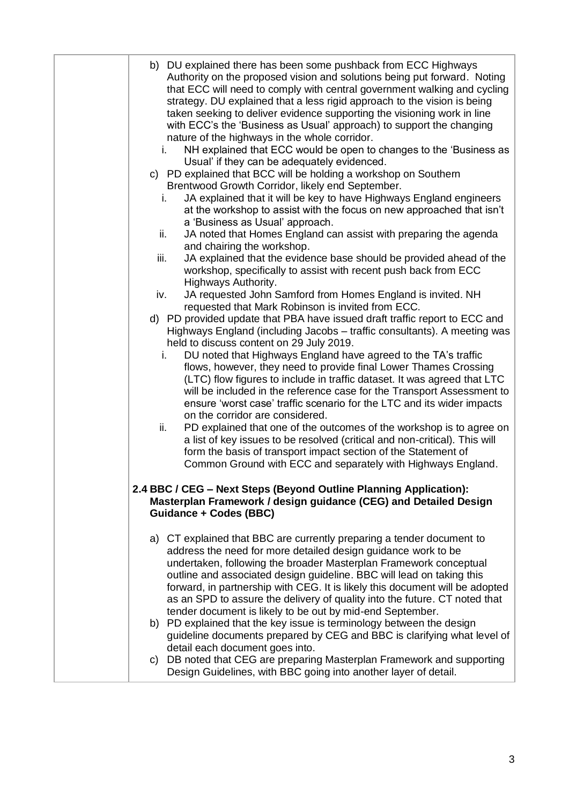| b) DU explained there has been some pushback from ECC Highways<br>Authority on the proposed vision and solutions being put forward. Noting<br>that ECC will need to comply with central government walking and cycling<br>strategy. DU explained that a less rigid approach to the vision is being<br>taken seeking to deliver evidence supporting the visioning work in line<br>with ECC's the 'Business as Usual' approach) to support the changing<br>nature of the highways in the whole corridor.<br>NH explained that ECC would be open to changes to the 'Business as<br>i.<br>Usual' if they can be adequately evidenced.<br>c) PD explained that BCC will be holding a workshop on Southern<br>Brentwood Growth Corridor, likely end September.<br>JA explained that it will be key to have Highways England engineers<br>i.<br>at the workshop to assist with the focus on new approached that isn't<br>a 'Business as Usual' approach.<br>JA noted that Homes England can assist with preparing the agenda<br>ii.<br>and chairing the workshop.<br>JA explained that the evidence base should be provided ahead of the<br>iii.<br>workshop, specifically to assist with recent push back from ECC<br>Highways Authority.<br>JA requested John Samford from Homes England is invited. NH<br>iv.<br>requested that Mark Robinson is invited from ECC.<br>d) PD provided update that PBA have issued draft traffic report to ECC and<br>Highways England (including Jacobs - traffic consultants). A meeting was<br>held to discuss content on 29 July 2019.<br>DU noted that Highways England have agreed to the TA's traffic<br>i.<br>flows, however, they need to provide final Lower Thames Crossing<br>(LTC) flow figures to include in traffic dataset. It was agreed that LTC<br>will be included in the reference case for the Transport Assessment to<br>ensure 'worst case' traffic scenario for the LTC and its wider impacts<br>on the corridor are considered.<br>ii.<br>PD explained that one of the outcomes of the workshop is to agree on<br>a list of key issues to be resolved (critical and non-critical). This will<br>form the basis of transport impact section of the Statement of |
|--------------------------------------------------------------------------------------------------------------------------------------------------------------------------------------------------------------------------------------------------------------------------------------------------------------------------------------------------------------------------------------------------------------------------------------------------------------------------------------------------------------------------------------------------------------------------------------------------------------------------------------------------------------------------------------------------------------------------------------------------------------------------------------------------------------------------------------------------------------------------------------------------------------------------------------------------------------------------------------------------------------------------------------------------------------------------------------------------------------------------------------------------------------------------------------------------------------------------------------------------------------------------------------------------------------------------------------------------------------------------------------------------------------------------------------------------------------------------------------------------------------------------------------------------------------------------------------------------------------------------------------------------------------------------------------------------------------------------------------------------------------------------------------------------------------------------------------------------------------------------------------------------------------------------------------------------------------------------------------------------------------------------------------------------------------------------------------------------------------------------------------------------------------------------------------------------------------------|
| Common Ground with ECC and separately with Highways England.<br>2.4 BBC / CEG - Next Steps (Beyond Outline Planning Application):                                                                                                                                                                                                                                                                                                                                                                                                                                                                                                                                                                                                                                                                                                                                                                                                                                                                                                                                                                                                                                                                                                                                                                                                                                                                                                                                                                                                                                                                                                                                                                                                                                                                                                                                                                                                                                                                                                                                                                                                                                                                                  |
| Masterplan Framework / design guidance (CEG) and Detailed Design<br><b>Guidance + Codes (BBC)</b>                                                                                                                                                                                                                                                                                                                                                                                                                                                                                                                                                                                                                                                                                                                                                                                                                                                                                                                                                                                                                                                                                                                                                                                                                                                                                                                                                                                                                                                                                                                                                                                                                                                                                                                                                                                                                                                                                                                                                                                                                                                                                                                  |
| a) CT explained that BBC are currently preparing a tender document to<br>address the need for more detailed design guidance work to be<br>undertaken, following the broader Masterplan Framework conceptual<br>outline and associated design guideline. BBC will lead on taking this<br>forward, in partnership with CEG. It is likely this document will be adopted<br>as an SPD to assure the delivery of quality into the future. CT noted that<br>tender document is likely to be out by mid-end September.<br>b) PD explained that the key issue is terminology between the design<br>guideline documents prepared by CEG and BBC is clarifying what level of<br>detail each document goes into.<br>c) DB noted that CEG are preparing Masterplan Framework and supporting<br>Design Guidelines, with BBC going into another layer of detail.                                                                                                                                                                                                                                                                                                                                                                                                                                                                                                                                                                                                                                                                                                                                                                                                                                                                                                                                                                                                                                                                                                                                                                                                                                                                                                                                                                 |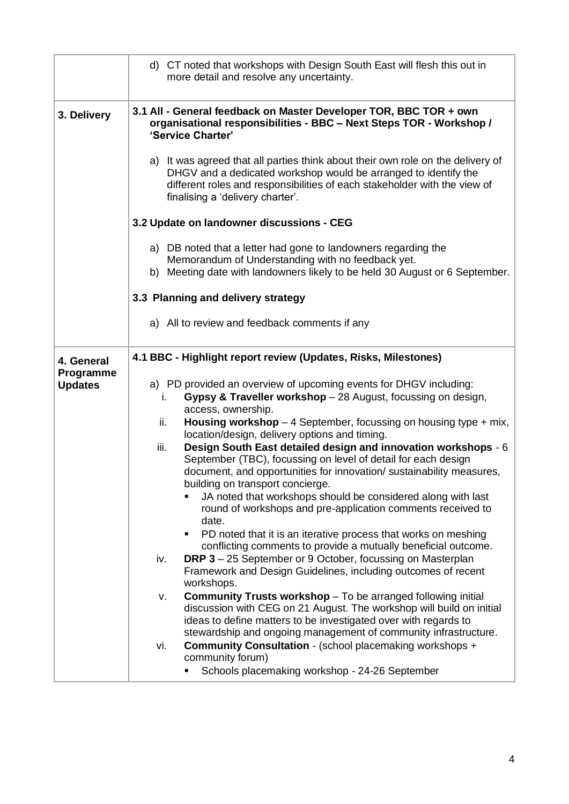| d) CT noted that workshops with Design South East will flesh this out in<br>more detail and resolve any uncertainty.                                                                                                                                                                                                                                                                                                                                                                                                                                                                                                                                                                                                                                                                                                                                                                                                                                                                                                                                                                                                                                                                                                                                                                                                                                                                                                                                    |  |  |  |  |  |
|---------------------------------------------------------------------------------------------------------------------------------------------------------------------------------------------------------------------------------------------------------------------------------------------------------------------------------------------------------------------------------------------------------------------------------------------------------------------------------------------------------------------------------------------------------------------------------------------------------------------------------------------------------------------------------------------------------------------------------------------------------------------------------------------------------------------------------------------------------------------------------------------------------------------------------------------------------------------------------------------------------------------------------------------------------------------------------------------------------------------------------------------------------------------------------------------------------------------------------------------------------------------------------------------------------------------------------------------------------------------------------------------------------------------------------------------------------|--|--|--|--|--|
| 3.1 All - General feedback on Master Developer TOR, BBC TOR + own<br>organisational responsibilities - BBC - Next Steps TOR - Workshop /<br>'Service Charter'                                                                                                                                                                                                                                                                                                                                                                                                                                                                                                                                                                                                                                                                                                                                                                                                                                                                                                                                                                                                                                                                                                                                                                                                                                                                                           |  |  |  |  |  |
| a) It was agreed that all parties think about their own role on the delivery of<br>DHGV and a dedicated workshop would be arranged to identify the<br>different roles and responsibilities of each stakeholder with the view of<br>finalising a 'delivery charter'.                                                                                                                                                                                                                                                                                                                                                                                                                                                                                                                                                                                                                                                                                                                                                                                                                                                                                                                                                                                                                                                                                                                                                                                     |  |  |  |  |  |
| 3.2 Update on landowner discussions - CEG                                                                                                                                                                                                                                                                                                                                                                                                                                                                                                                                                                                                                                                                                                                                                                                                                                                                                                                                                                                                                                                                                                                                                                                                                                                                                                                                                                                                               |  |  |  |  |  |
| a) DB noted that a letter had gone to landowners regarding the<br>Memorandum of Understanding with no feedback yet.<br>b) Meeting date with landowners likely to be held 30 August or 6 September.                                                                                                                                                                                                                                                                                                                                                                                                                                                                                                                                                                                                                                                                                                                                                                                                                                                                                                                                                                                                                                                                                                                                                                                                                                                      |  |  |  |  |  |
| 3.3 Planning and delivery strategy                                                                                                                                                                                                                                                                                                                                                                                                                                                                                                                                                                                                                                                                                                                                                                                                                                                                                                                                                                                                                                                                                                                                                                                                                                                                                                                                                                                                                      |  |  |  |  |  |
| a) All to review and feedback comments if any                                                                                                                                                                                                                                                                                                                                                                                                                                                                                                                                                                                                                                                                                                                                                                                                                                                                                                                                                                                                                                                                                                                                                                                                                                                                                                                                                                                                           |  |  |  |  |  |
| 4.1 BBC - Highlight report review (Updates, Risks, Milestones)                                                                                                                                                                                                                                                                                                                                                                                                                                                                                                                                                                                                                                                                                                                                                                                                                                                                                                                                                                                                                                                                                                                                                                                                                                                                                                                                                                                          |  |  |  |  |  |
| a) PD provided an overview of upcoming events for DHGV including:<br>Gypsy & Traveller workshop - 28 August, focussing on design,<br>I.<br>access, ownership.<br>ii.<br><b>Housing workshop</b> $-$ 4 September, focussing on housing type $+$ mix,<br>location/design, delivery options and timing.<br>Design South East detailed design and innovation workshops - 6<br>iii.<br>September (TBC), focussing on level of detail for each design<br>document, and opportunities for innovation/ sustainability measures,<br>building on transport concierge.<br>JA noted that workshops should be considered along with last<br>٠<br>round of workshops and pre-application comments received to<br>date.<br>PD noted that it is an iterative process that works on meshing<br>٠<br>conflicting comments to provide a mutually beneficial outcome.<br><b>DRP 3</b> - 25 September or 9 October, focussing on Masterplan<br>iv.<br>Framework and Design Guidelines, including outcomes of recent<br>workshops.<br><b>Community Trusts workshop</b> - To be arranged following initial<br>٧.<br>discussion with CEG on 21 August. The workshop will build on initial<br>ideas to define matters to be investigated over with regards to<br>stewardship and ongoing management of community infrastructure.<br><b>Community Consultation - (school placemaking workshops +</b><br>vi.<br>community forum)<br>Schools placemaking workshop - 24-26 September |  |  |  |  |  |
|                                                                                                                                                                                                                                                                                                                                                                                                                                                                                                                                                                                                                                                                                                                                                                                                                                                                                                                                                                                                                                                                                                                                                                                                                                                                                                                                                                                                                                                         |  |  |  |  |  |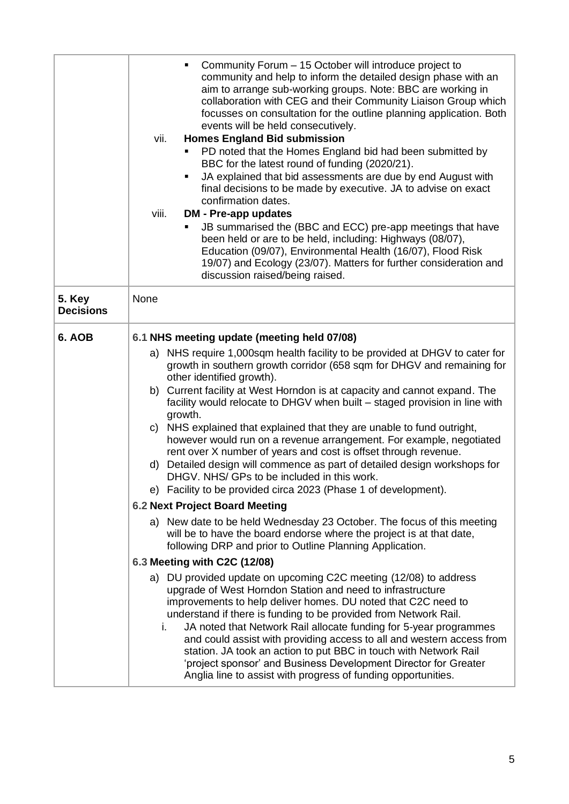|                                   | Community Forum - 15 October will introduce project to<br>٠<br>community and help to inform the detailed design phase with an<br>aim to arrange sub-working groups. Note: BBC are working in<br>collaboration with CEG and their Community Liaison Group which<br>focusses on consultation for the outline planning application. Both<br>events will be held consecutively.<br><b>Homes England Bid submission</b><br>vii.<br>PD noted that the Homes England bid had been submitted by<br>BBC for the latest round of funding (2020/21).<br>JA explained that bid assessments are due by end August with<br>٠<br>final decisions to be made by executive. JA to advise on exact<br>confirmation dates.<br>viii.<br><b>DM - Pre-app updates</b><br>JB summarised the (BBC and ECC) pre-app meetings that have<br>٠<br>been held or are to be held, including: Highways (08/07),<br>Education (09/07), Environmental Health (16/07), Flood Risk<br>19/07) and Ecology (23/07). Matters for further consideration and<br>discussion raised/being raised.                                                                                                                                                                                                                                                                                                                                                                                                                                                                                                                                                                                                                                    |  |
|-----------------------------------|-------------------------------------------------------------------------------------------------------------------------------------------------------------------------------------------------------------------------------------------------------------------------------------------------------------------------------------------------------------------------------------------------------------------------------------------------------------------------------------------------------------------------------------------------------------------------------------------------------------------------------------------------------------------------------------------------------------------------------------------------------------------------------------------------------------------------------------------------------------------------------------------------------------------------------------------------------------------------------------------------------------------------------------------------------------------------------------------------------------------------------------------------------------------------------------------------------------------------------------------------------------------------------------------------------------------------------------------------------------------------------------------------------------------------------------------------------------------------------------------------------------------------------------------------------------------------------------------------------------------------------------------------------------------------------------------|--|
| <b>5. Key</b><br><b>Decisions</b> | None                                                                                                                                                                                                                                                                                                                                                                                                                                                                                                                                                                                                                                                                                                                                                                                                                                                                                                                                                                                                                                                                                                                                                                                                                                                                                                                                                                                                                                                                                                                                                                                                                                                                                      |  |
| 6. AOB                            | 6.1 NHS meeting update (meeting held 07/08)<br>a) NHS require 1,000sqm health facility to be provided at DHGV to cater for<br>growth in southern growth corridor (658 sqm for DHGV and remaining for<br>other identified growth).<br>Current facility at West Horndon is at capacity and cannot expand. The<br>b)<br>facility would relocate to DHGV when built - staged provision in line with<br>growth.<br>c) NHS explained that explained that they are unable to fund outright,<br>however would run on a revenue arrangement. For example, negotiated<br>rent over X number of years and cost is offset through revenue.<br>Detailed design will commence as part of detailed design workshops for<br>d)<br>DHGV. NHS/ GPs to be included in this work.<br>e) Facility to be provided circa 2023 (Phase 1 of development).<br><b>6.2 Next Project Board Meeting</b><br>a) New date to be held Wednesday 23 October. The focus of this meeting<br>will be to have the board endorse where the project is at that date,<br>following DRP and prior to Outline Planning Application.<br>6.3 Meeting with C2C (12/08)<br>a) DU provided update on upcoming C2C meeting (12/08) to address<br>upgrade of West Horndon Station and need to infrastructure<br>improvements to help deliver homes. DU noted that C2C need to<br>understand if there is funding to be provided from Network Rail.<br>JA noted that Network Rail allocate funding for 5-year programmes<br>i.<br>and could assist with providing access to all and western access from<br>station. JA took an action to put BBC in touch with Network Rail<br>'project sponsor' and Business Development Director for Greater |  |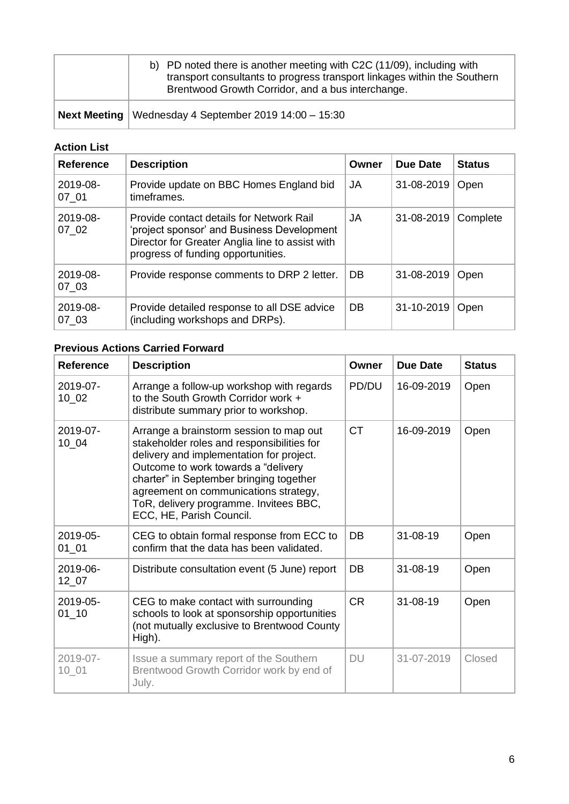| b) PD noted there is another meeting with C2C (11/09), including with<br>transport consultants to progress transport linkages within the Southern<br>Brentwood Growth Corridor, and a bus interchange. |
|--------------------------------------------------------------------------------------------------------------------------------------------------------------------------------------------------------|
| <b>Next Meeting</b>   Wednesday 4 September 2019 14:00 $-$ 15:30                                                                                                                                       |

## **Action List**

| <b>Reference</b>  | <b>Description</b>                                                                                                                                                              | Owner | Due Date   | <b>Status</b> |
|-------------------|---------------------------------------------------------------------------------------------------------------------------------------------------------------------------------|-------|------------|---------------|
| 2019-08-<br>07 01 | Provide update on BBC Homes England bid<br>timeframes.                                                                                                                          | JA    | 31-08-2019 | Open          |
| 2019-08-<br>07 02 | Provide contact details for Network Rail<br>'project sponsor' and Business Development<br>Director for Greater Anglia line to assist with<br>progress of funding opportunities. | JA.   | 31-08-2019 | Complete      |
| 2019-08-<br>07 03 | Provide response comments to DRP 2 letter.                                                                                                                                      | DB    | 31-08-2019 | Open          |
| 2019-08-<br>07 03 | Provide detailed response to all DSE advice<br>(including workshops and DRPs).                                                                                                  | DB    | 31-10-2019 | Open          |

## **Previous Actions Carried Forward**

| <b>Reference</b>       | <b>Description</b>                                                                                                                                                                                                                                                                                                                 | Owner     | <b>Due Date</b> | <b>Status</b> |
|------------------------|------------------------------------------------------------------------------------------------------------------------------------------------------------------------------------------------------------------------------------------------------------------------------------------------------------------------------------|-----------|-----------------|---------------|
| 2019-07-<br>$10_02$    | Arrange a follow-up workshop with regards<br>to the South Growth Corridor work +<br>distribute summary prior to workshop.                                                                                                                                                                                                          | PD/DU     | 16-09-2019      | Open          |
| 2019-07-<br>$10_04$    | Arrange a brainstorm session to map out<br>stakeholder roles and responsibilities for<br>delivery and implementation for project.<br>Outcome to work towards a "delivery<br>charter" in September bringing together<br>agreement on communications strategy,<br>ToR, delivery programme. Invitees BBC,<br>ECC, HE, Parish Council. | <b>CT</b> | 16-09-2019      | Open          |
| 2019-05-<br>$01_0$     | CEG to obtain formal response from ECC to<br>confirm that the data has been validated.                                                                                                                                                                                                                                             | DB        | $31 - 08 - 19$  | Open          |
| 2019-06-<br>$12_{.07}$ | Distribute consultation event (5 June) report                                                                                                                                                                                                                                                                                      | DB        | $31 - 08 - 19$  | Open          |
| 2019-05-<br>$01 - 10$  | CEG to make contact with surrounding<br>schools to look at sponsorship opportunities<br>(not mutually exclusive to Brentwood County<br>High).                                                                                                                                                                                      | <b>CR</b> | $31 - 08 - 19$  | Open          |
| 2019-07-<br>$10 - 01$  | Issue a summary report of the Southern<br>Brentwood Growth Corridor work by end of<br>July.                                                                                                                                                                                                                                        | <b>DU</b> | 31-07-2019      | Closed        |